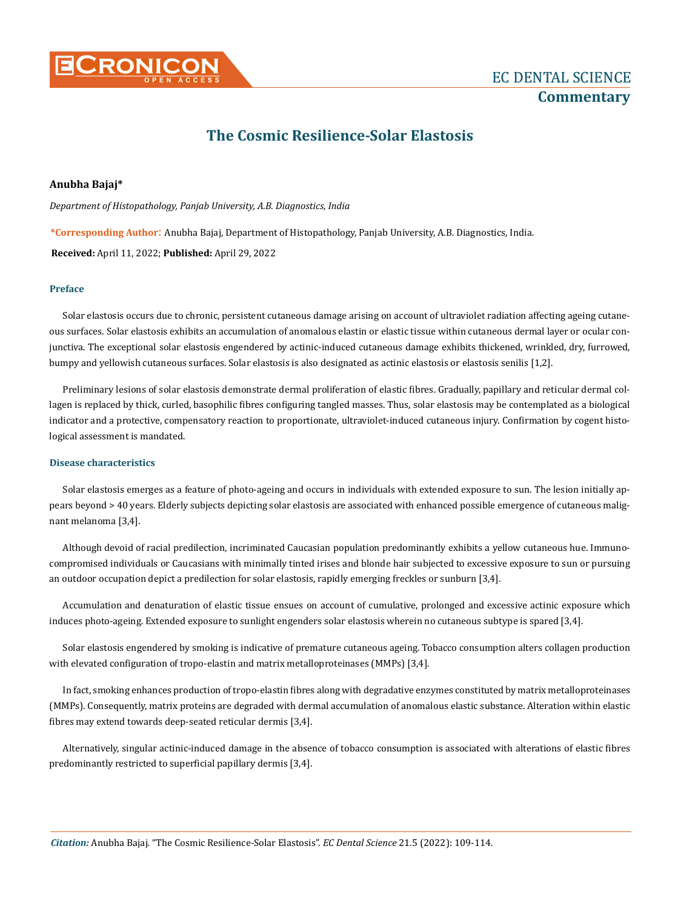

# **The Cosmic Resilience-Solar Elastosis**

# **Anubha Bajaj\***

*Department of Histopathology, Panjab University, A.B. Diagnostics, India*

**\*Corresponding Author**: Anubha Bajaj, Department of Histopathology, Panjab University, A.B. Diagnostics, India.

**Received:** April 11, 2022; **Published:** April 29, 2022

# **Preface**

Solar elastosis occurs due to chronic, persistent cutaneous damage arising on account of ultraviolet radiation affecting ageing cutaneous surfaces. Solar elastosis exhibits an accumulation of anomalous elastin or elastic tissue within cutaneous dermal layer or ocular conjunctiva. The exceptional solar elastosis engendered by actinic-induced cutaneous damage exhibits thickened, wrinkled, dry, furrowed, bumpy and yellowish cutaneous surfaces. Solar elastosis is also designated as actinic elastosis or elastosis senilis [1,2].

Preliminary lesions of solar elastosis demonstrate dermal proliferation of elastic fibres. Gradually, papillary and reticular dermal collagen is replaced by thick, curled, basophilic fibres configuring tangled masses. Thus, solar elastosis may be contemplated as a biological indicator and a protective, compensatory reaction to proportionate, ultraviolet-induced cutaneous injury. Confirmation by cogent histological assessment is mandated.

## **Disease characteristics**

Solar elastosis emerges as a feature of photo-ageing and occurs in individuals with extended exposure to sun. The lesion initially appears beyond > 40 years. Elderly subjects depicting solar elastosis are associated with enhanced possible emergence of cutaneous malignant melanoma [3,4].

Although devoid of racial predilection, incriminated Caucasian population predominantly exhibits a yellow cutaneous hue. Immunocompromised individuals or Caucasians with minimally tinted irises and blonde hair subjected to excessive exposure to sun or pursuing an outdoor occupation depict a predilection for solar elastosis, rapidly emerging freckles or sunburn [3,4].

Accumulation and denaturation of elastic tissue ensues on account of cumulative, prolonged and excessive actinic exposure which induces photo-ageing. Extended exposure to sunlight engenders solar elastosis wherein no cutaneous subtype is spared [3,4].

Solar elastosis engendered by smoking is indicative of premature cutaneous ageing. Tobacco consumption alters collagen production with elevated configuration of tropo-elastin and matrix metalloproteinases (MMPs) [3,4].

In fact, smoking enhances production of tropo-elastin fibres along with degradative enzymes constituted by matrix metalloproteinases (MMPs). Consequently, matrix proteins are degraded with dermal accumulation of anomalous elastic substance. Alteration within elastic fibres may extend towards deep-seated reticular dermis [3,4].

Alternatively, singular actinic-induced damage in the absence of tobacco consumption is associated with alterations of elastic fibres predominantly restricted to superficial papillary dermis [3,4].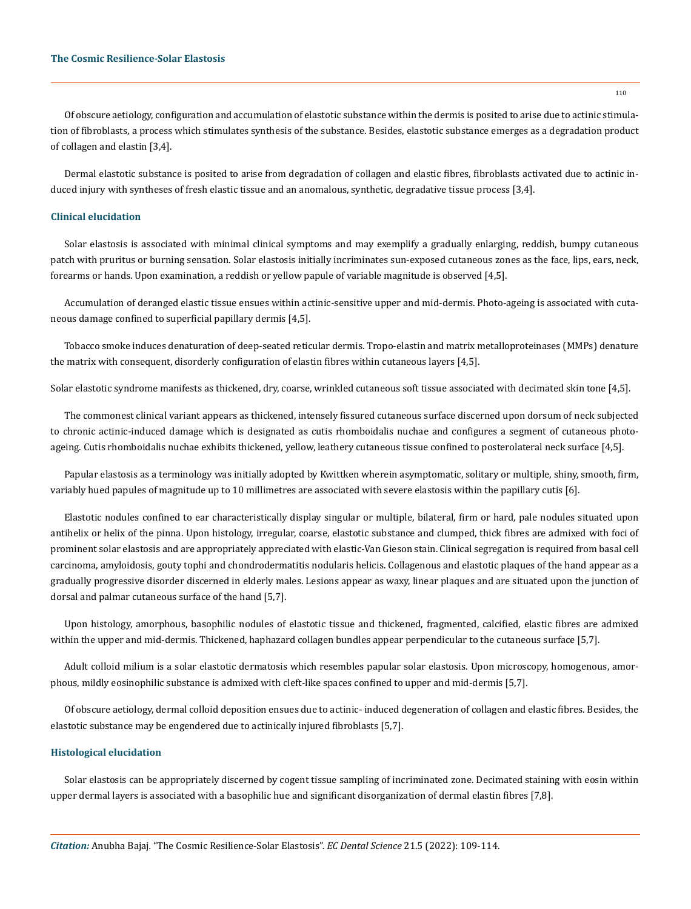Of obscure aetiology, configuration and accumulation of elastotic substance within the dermis is posited to arise due to actinic stimulation of fibroblasts, a process which stimulates synthesis of the substance. Besides, elastotic substance emerges as a degradation product of collagen and elastin [3,4].

Dermal elastotic substance is posited to arise from degradation of collagen and elastic fibres, fibroblasts activated due to actinic induced injury with syntheses of fresh elastic tissue and an anomalous, synthetic, degradative tissue process [3,4].

#### **Clinical elucidation**

Solar elastosis is associated with minimal clinical symptoms and may exemplify a gradually enlarging, reddish, bumpy cutaneous patch with pruritus or burning sensation. Solar elastosis initially incriminates sun-exposed cutaneous zones as the face, lips, ears, neck, forearms or hands. Upon examination, a reddish or yellow papule of variable magnitude is observed [4,5].

Accumulation of deranged elastic tissue ensues within actinic-sensitive upper and mid-dermis. Photo-ageing is associated with cutaneous damage confined to superficial papillary dermis [4,5].

Tobacco smoke induces denaturation of deep-seated reticular dermis. Tropo-elastin and matrix metalloproteinases (MMPs) denature the matrix with consequent, disorderly configuration of elastin fibres within cutaneous layers [4,5].

Solar elastotic syndrome manifests as thickened, dry, coarse, wrinkled cutaneous soft tissue associated with decimated skin tone [4,5].

The commonest clinical variant appears as thickened, intensely fissured cutaneous surface discerned upon dorsum of neck subjected to chronic actinic-induced damage which is designated as cutis rhomboidalis nuchae and configures a segment of cutaneous photoageing. Cutis rhomboidalis nuchae exhibits thickened, yellow, leathery cutaneous tissue confined to posterolateral neck surface [4,5].

Papular elastosis as a terminology was initially adopted by Kwittken wherein asymptomatic, solitary or multiple, shiny, smooth, firm, variably hued papules of magnitude up to 10 millimetres are associated with severe elastosis within the papillary cutis [6].

Elastotic nodules confined to ear characteristically display singular or multiple, bilateral, firm or hard, pale nodules situated upon antihelix or helix of the pinna. Upon histology, irregular, coarse, elastotic substance and clumped, thick fibres are admixed with foci of prominent solar elastosis and are appropriately appreciated with elastic-Van Gieson stain. Clinical segregation is required from basal cell carcinoma, amyloidosis, gouty tophi and chondrodermatitis nodularis helicis. Collagenous and elastotic plaques of the hand appear as a gradually progressive disorder discerned in elderly males. Lesions appear as waxy, linear plaques and are situated upon the junction of dorsal and palmar cutaneous surface of the hand [5,7].

Upon histology, amorphous, basophilic nodules of elastotic tissue and thickened, fragmented, calcified, elastic fibres are admixed within the upper and mid-dermis. Thickened, haphazard collagen bundles appear perpendicular to the cutaneous surface [5,7].

Adult colloid milium is a solar elastotic dermatosis which resembles papular solar elastosis. Upon microscopy, homogenous, amorphous, mildly eosinophilic substance is admixed with cleft-like spaces confined to upper and mid-dermis [5,7].

Of obscure aetiology, dermal colloid deposition ensues due to actinic- induced degeneration of collagen and elastic fibres. Besides, the elastotic substance may be engendered due to actinically injured fibroblasts [5,7].

#### **Histological elucidation**

Solar elastosis can be appropriately discerned by cogent tissue sampling of incriminated zone. Decimated staining with eosin within upper dermal layers is associated with a basophilic hue and significant disorganization of dermal elastin fibres [7,8].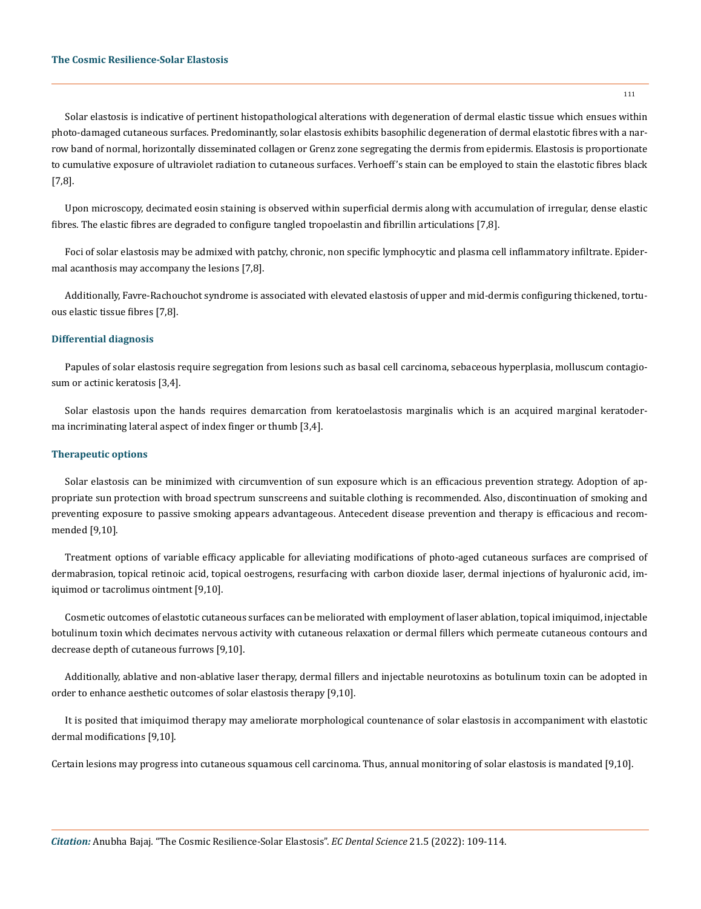Solar elastosis is indicative of pertinent histopathological alterations with degeneration of dermal elastic tissue which ensues within photo-damaged cutaneous surfaces. Predominantly, solar elastosis exhibits basophilic degeneration of dermal elastotic fibres with a narrow band of normal, horizontally disseminated collagen or Grenz zone segregating the dermis from epidermis. Elastosis is proportionate to cumulative exposure of ultraviolet radiation to cutaneous surfaces. Verhoeff's stain can be employed to stain the elastotic fibres black

Upon microscopy, decimated eosin staining is observed within superficial dermis along with accumulation of irregular, dense elastic fibres. The elastic fibres are degraded to configure tangled tropoelastin and fibrillin articulations [7,8].

Foci of solar elastosis may be admixed with patchy, chronic, non specific lymphocytic and plasma cell inflammatory infiltrate. Epidermal acanthosis may accompany the lesions [7,8].

Additionally, Favre-Rachouchot syndrome is associated with elevated elastosis of upper and mid-dermis configuring thickened, tortuous elastic tissue fibres [7,8].

# **Differential diagnosis**

[7,8].

Papules of solar elastosis require segregation from lesions such as basal cell carcinoma, sebaceous hyperplasia, molluscum contagiosum or actinic keratosis [3,4].

Solar elastosis upon the hands requires demarcation from keratoelastosis marginalis which is an acquired marginal keratoderma incriminating lateral aspect of index finger or thumb [3,4].

## **Therapeutic options**

Solar elastosis can be minimized with circumvention of sun exposure which is an efficacious prevention strategy. Adoption of appropriate sun protection with broad spectrum sunscreens and suitable clothing is recommended. Also, discontinuation of smoking and preventing exposure to passive smoking appears advantageous. Antecedent disease prevention and therapy is efficacious and recommended [9,10].

Treatment options of variable efficacy applicable for alleviating modifications of photo-aged cutaneous surfaces are comprised of dermabrasion, topical retinoic acid, topical oestrogens, resurfacing with carbon dioxide laser, dermal injections of hyaluronic acid, imiquimod or tacrolimus ointment [9,10].

Cosmetic outcomes of elastotic cutaneous surfaces can be meliorated with employment of laser ablation, topical imiquimod, injectable botulinum toxin which decimates nervous activity with cutaneous relaxation or dermal fillers which permeate cutaneous contours and decrease depth of cutaneous furrows [9,10].

Additionally, ablative and non-ablative laser therapy, dermal fillers and injectable neurotoxins as botulinum toxin can be adopted in order to enhance aesthetic outcomes of solar elastosis therapy [9,10].

It is posited that imiquimod therapy may ameliorate morphological countenance of solar elastosis in accompaniment with elastotic dermal modifications [9,10].

Certain lesions may progress into cutaneous squamous cell carcinoma. Thus, annual monitoring of solar elastosis is mandated [9,10].

111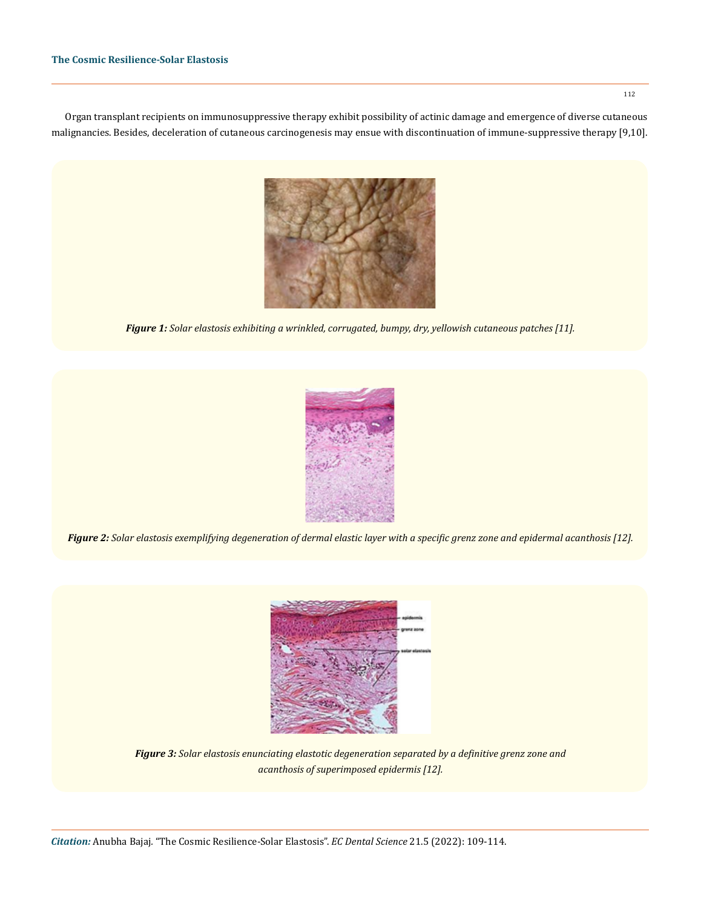Organ transplant recipients on immunosuppressive therapy exhibit possibility of actinic damage and emergence of diverse cutaneous malignancies. Besides, deceleration of cutaneous carcinogenesis may ensue with discontinuation of immune-suppressive therapy [9,10].



*Figure 1: Solar elastosis exhibiting a wrinkled, corrugated, bumpy, dry, yellowish cutaneous patches [11].* 



*Figure 2: Solar elastosis exemplifying degeneration of dermal elastic layer with a specific grenz zone and epidermal acanthosis [12].*



*Figure 3: Solar elastosis enunciating elastotic degeneration separated by a definitive grenz zone and acanthosis of superimposed epidermis [12].*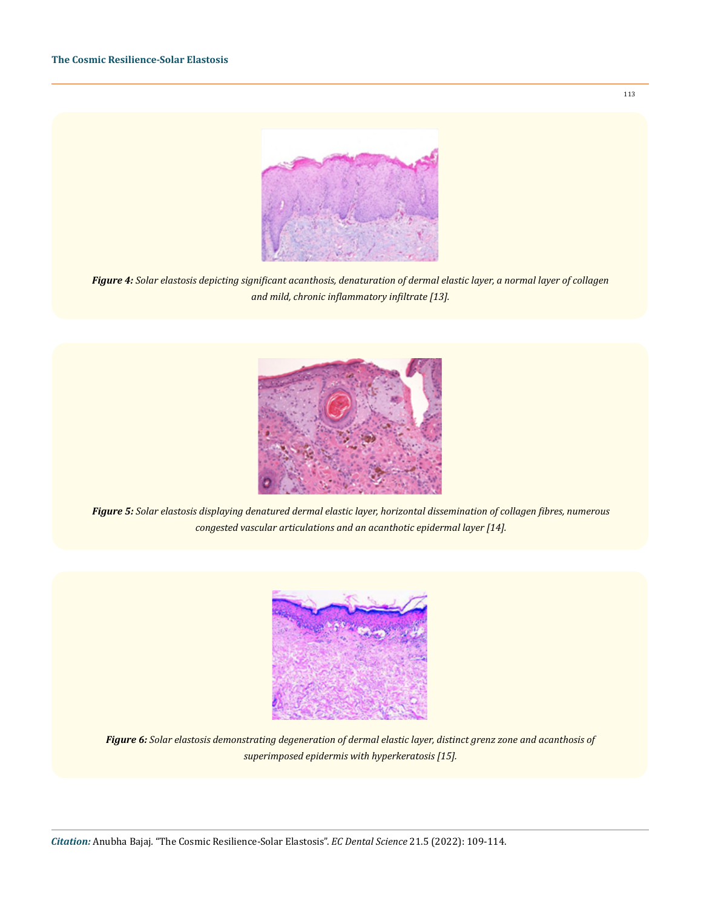

*Figure 4: Solar elastosis depicting significant acanthosis, denaturation of dermal elastic layer, a normal layer of collagen and mild, chronic inflammatory infiltrate [13].*



*Figure 5: Solar elastosis displaying denatured dermal elastic layer, horizontal dissemination of collagen fibres, numerous congested vascular articulations and an acanthotic epidermal layer [14].* 



*Figure 6: Solar elastosis demonstrating degeneration of dermal elastic layer, distinct grenz zone and acanthosis of superimposed epidermis with hyperkeratosis [15].*

113